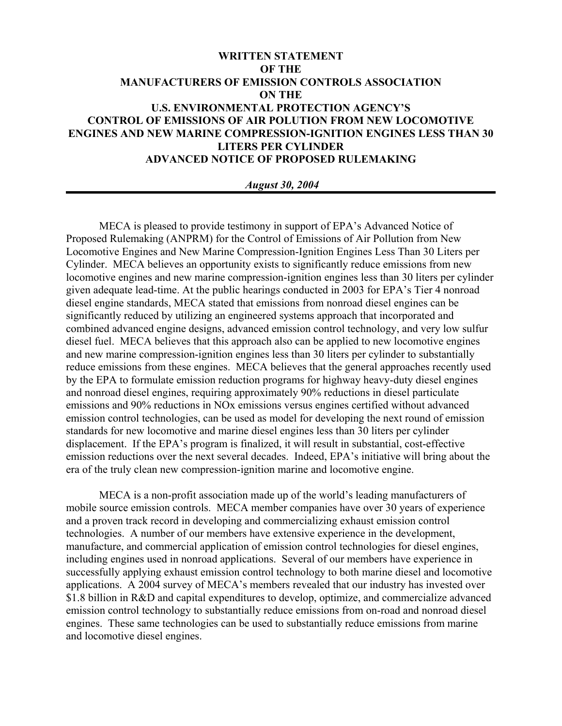# **WRITTEN STATEMENT OF THE MANUFACTURERS OF EMISSION CONTROLS ASSOCIATION ON THE U.S. ENVIRONMENTAL PROTECTION AGENCY'S CONTROL OF EMISSIONS OF AIR POLUTION FROM NEW LOCOMOTIVE ENGINES AND NEW MARINE COMPRESSION-IGNITION ENGINES LESS THAN 30 LITERS PER CYLINDER ADVANCED NOTICE OF PROPOSED RULEMAKING**

#### *August 30, 2004*

MECA is pleased to provide testimony in support of EPA's Advanced Notice of Proposed Rulemaking (ANPRM) for the Control of Emissions of Air Pollution from New Locomotive Engines and New Marine Compression-Ignition Engines Less Than 30 Liters per Cylinder. MECA believes an opportunity exists to significantly reduce emissions from new locomotive engines and new marine compression-ignition engines less than 30 liters per cylinder given adequate lead-time. At the public hearings conducted in 2003 for EPA's Tier 4 nonroad diesel engine standards, MECA stated that emissions from nonroad diesel engines can be significantly reduced by utilizing an engineered systems approach that incorporated and combined advanced engine designs, advanced emission control technology, and very low sulfur diesel fuel. MECA believes that this approach also can be applied to new locomotive engines and new marine compression-ignition engines less than 30 liters per cylinder to substantially reduce emissions from these engines. MECA believes that the general approaches recently used by the EPA to formulate emission reduction programs for highway heavy-duty diesel engines and nonroad diesel engines, requiring approximately 90% reductions in diesel particulate emissions and 90% reductions in NOx emissions versus engines certified without advanced emission control technologies, can be used as model for developing the next round of emission standards for new locomotive and marine diesel engines less than 30 liters per cylinder displacement. If the EPA's program is finalized, it will result in substantial, cost-effective emission reductions over the next several decades. Indeed, EPA's initiative will bring about the era of the truly clean new compression-ignition marine and locomotive engine.

MECA is a non-profit association made up of the world's leading manufacturers of mobile source emission controls. MECA member companies have over 30 years of experience and a proven track record in developing and commercializing exhaust emission control technologies. A number of our members have extensive experience in the development, manufacture, and commercial application of emission control technologies for diesel engines, including engines used in nonroad applications. Several of our members have experience in successfully applying exhaust emission control technology to both marine diesel and locomotive applications. A 2004 survey of MECA's members revealed that our industry has invested over \$1.8 billion in R&D and capital expenditures to develop, optimize, and commercialize advanced emission control technology to substantially reduce emissions from on-road and nonroad diesel engines. These same technologies can be used to substantially reduce emissions from marine and locomotive diesel engines.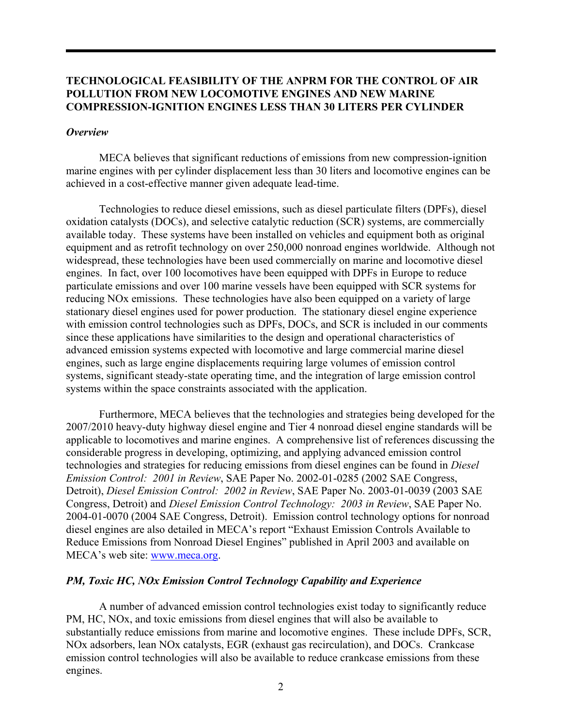# **TECHNOLOGICAL FEASIBILITY OF THE ANPRM FOR THE CONTROL OF AIR POLLUTION FROM NEW LOCOMOTIVE ENGINES AND NEW MARINE COMPRESSION-IGNITION ENGINES LESS THAN 30 LITERS PER CYLINDER**

#### *Overview*

MECA believes that significant reductions of emissions from new compression-ignition marine engines with per cylinder displacement less than 30 liters and locomotive engines can be achieved in a cost-effective manner given adequate lead-time.

Technologies to reduce diesel emissions, such as diesel particulate filters (DPFs), diesel oxidation catalysts (DOCs), and selective catalytic reduction (SCR) systems, are commercially available today. These systems have been installed on vehicles and equipment both as original equipment and as retrofit technology on over 250,000 nonroad engines worldwide. Although not widespread, these technologies have been used commercially on marine and locomotive diesel engines. In fact, over 100 locomotives have been equipped with DPFs in Europe to reduce particulate emissions and over 100 marine vessels have been equipped with SCR systems for reducing NOx emissions. These technologies have also been equipped on a variety of large stationary diesel engines used for power production. The stationary diesel engine experience with emission control technologies such as DPFs, DOCs, and SCR is included in our comments since these applications have similarities to the design and operational characteristics of advanced emission systems expected with locomotive and large commercial marine diesel engines, such as large engine displacements requiring large volumes of emission control systems, significant steady-state operating time, and the integration of large emission control systems within the space constraints associated with the application.

Furthermore, MECA believes that the technologies and strategies being developed for the 2007/2010 heavy-duty highway diesel engine and Tier 4 nonroad diesel engine standards will be applicable to locomotives and marine engines. A comprehensive list of references discussing the considerable progress in developing, optimizing, and applying advanced emission control technologies and strategies for reducing emissions from diesel engines can be found in *Diesel Emission Control: 2001 in Review*, SAE Paper No. 2002-01-0285 (2002 SAE Congress, Detroit), *Diesel Emission Control: 2002 in Review*, SAE Paper No. 2003-01-0039 (2003 SAE Congress, Detroit) and *Diesel Emission Control Technology: 2003 in Review*, SAE Paper No. 2004-01-0070 (2004 SAE Congress, Detroit). Emission control technology options for nonroad diesel engines are also detailed in MECA's report "Exhaust Emission Controls Available to Reduce Emissions from Nonroad Diesel Engines" published in April 2003 and available on MECA's web site: www.meca.org.

### *PM, Toxic HC, NOx Emission Control Technology Capability and Experience*

A number of advanced emission control technologies exist today to significantly reduce PM, HC, NOx, and toxic emissions from diesel engines that will also be available to substantially reduce emissions from marine and locomotive engines. These include DPFs, SCR, NOx adsorbers, lean NOx catalysts, EGR (exhaust gas recirculation), and DOCs. Crankcase emission control technologies will also be available to reduce crankcase emissions from these engines.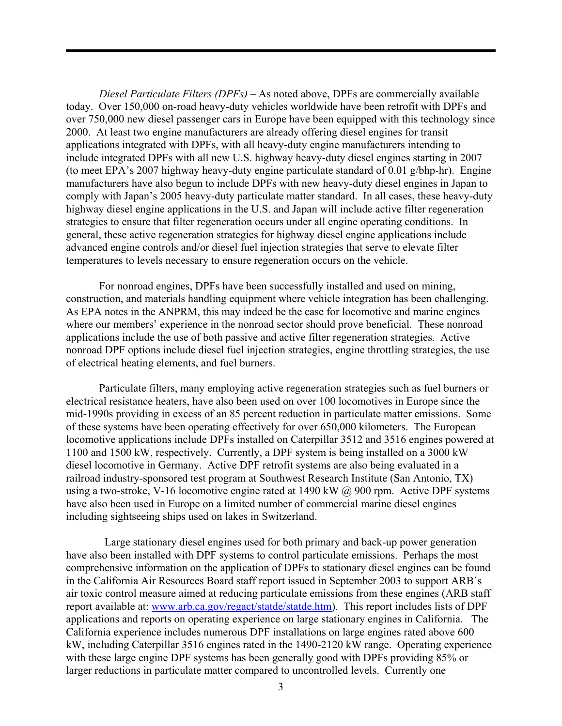*Diesel Particulate Filters (DPFs) –* As noted above, DPFs are commercially available today. Over 150,000 on-road heavy-duty vehicles worldwide have been retrofit with DPFs and over 750,000 new diesel passenger cars in Europe have been equipped with this technology since 2000. At least two engine manufacturers are already offering diesel engines for transit applications integrated with DPFs, with all heavy-duty engine manufacturers intending to include integrated DPFs with all new U.S. highway heavy-duty diesel engines starting in 2007 (to meet EPA's 2007 highway heavy-duty engine particulate standard of 0.01 g/bhp-hr). Engine manufacturers have also begun to include DPFs with new heavy-duty diesel engines in Japan to comply with Japan's 2005 heavy-duty particulate matter standard. In all cases, these heavy-duty highway diesel engine applications in the U.S. and Japan will include active filter regeneration strategies to ensure that filter regeneration occurs under all engine operating conditions. In general, these active regeneration strategies for highway diesel engine applications include advanced engine controls and/or diesel fuel injection strategies that serve to elevate filter temperatures to levels necessary to ensure regeneration occurs on the vehicle.

For nonroad engines, DPFs have been successfully installed and used on mining, construction, and materials handling equipment where vehicle integration has been challenging. As EPA notes in the ANPRM, this may indeed be the case for locomotive and marine engines where our members' experience in the nonroad sector should prove beneficial. These nonroad applications include the use of both passive and active filter regeneration strategies. Active nonroad DPF options include diesel fuel injection strategies, engine throttling strategies, the use of electrical heating elements, and fuel burners.

Particulate filters, many employing active regeneration strategies such as fuel burners or electrical resistance heaters, have also been used on over 100 locomotives in Europe since the mid-1990s providing in excess of an 85 percent reduction in particulate matter emissions. Some of these systems have been operating effectively for over 650,000 kilometers. The European locomotive applications include DPFs installed on Caterpillar 3512 and 3516 engines powered at 1100 and 1500 kW, respectively. Currently, a DPF system is being installed on a 3000 kW diesel locomotive in Germany. Active DPF retrofit systems are also being evaluated in a railroad industry-sponsored test program at Southwest Research Institute (San Antonio, TX) using a two-stroke, V-16 locomotive engine rated at 1490 kW  $\omega$  900 rpm. Active DPF systems have also been used in Europe on a limited number of commercial marine diesel engines including sightseeing ships used on lakes in Switzerland.

 Large stationary diesel engines used for both primary and back-up power generation have also been installed with DPF systems to control particulate emissions. Perhaps the most comprehensive information on the application of DPFs to stationary diesel engines can be found in the California Air Resources Board staff report issued in September 2003 to support ARB's air toxic control measure aimed at reducing particulate emissions from these engines (ARB staff report available at: www.arb.ca.gov/regact/statde/statde.htm). This report includes lists of DPF applications and reports on operating experience on large stationary engines in California. The California experience includes numerous DPF installations on large engines rated above 600 kW, including Caterpillar 3516 engines rated in the 1490-2120 kW range. Operating experience with these large engine DPF systems has been generally good with DPFs providing 85% or larger reductions in particulate matter compared to uncontrolled levels. Currently one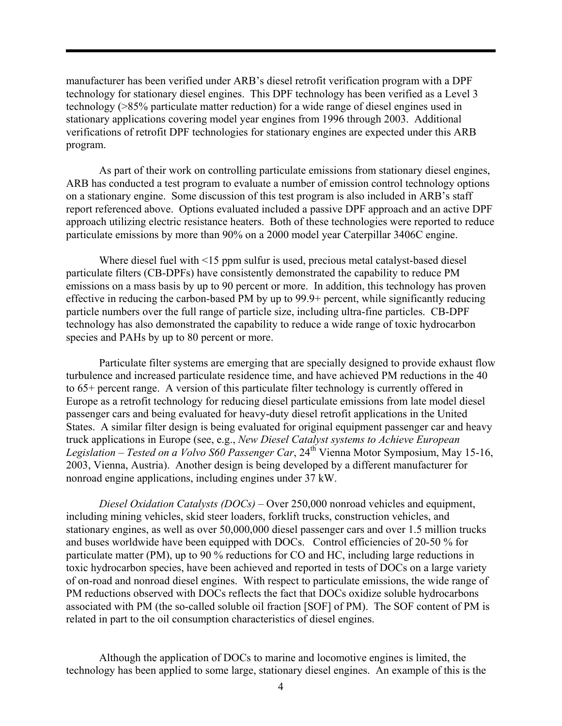manufacturer has been verified under ARB's diesel retrofit verification program with a DPF technology for stationary diesel engines. This DPF technology has been verified as a Level 3 technology (>85% particulate matter reduction) for a wide range of diesel engines used in stationary applications covering model year engines from 1996 through 2003. Additional verifications of retrofit DPF technologies for stationary engines are expected under this ARB program.

As part of their work on controlling particulate emissions from stationary diesel engines, ARB has conducted a test program to evaluate a number of emission control technology options on a stationary engine. Some discussion of this test program is also included in ARB's staff report referenced above. Options evaluated included a passive DPF approach and an active DPF approach utilizing electric resistance heaters. Both of these technologies were reported to reduce particulate emissions by more than 90% on a 2000 model year Caterpillar 3406C engine.

Where diesel fuel with <15 ppm sulfur is used, precious metal catalyst-based diesel particulate filters (CB-DPFs) have consistently demonstrated the capability to reduce PM emissions on a mass basis by up to 90 percent or more. In addition, this technology has proven effective in reducing the carbon-based PM by up to 99.9+ percent, while significantly reducing particle numbers over the full range of particle size, including ultra-fine particles. CB-DPF technology has also demonstrated the capability to reduce a wide range of toxic hydrocarbon species and PAHs by up to 80 percent or more.

Particulate filter systems are emerging that are specially designed to provide exhaust flow turbulence and increased particulate residence time, and have achieved PM reductions in the 40 to 65+ percent range. A version of this particulate filter technology is currently offered in Europe as a retrofit technology for reducing diesel particulate emissions from late model diesel passenger cars and being evaluated for heavy-duty diesel retrofit applications in the United States. A similar filter design is being evaluated for original equipment passenger car and heavy truck applications in Europe (see, e.g., *New Diesel Catalyst systems to Achieve European Legislation – Tested on a Volvo S60 Passenger Car*, 24th Vienna Motor Symposium, May 15-16, 2003, Vienna, Austria). Another design is being developed by a different manufacturer for nonroad engine applications, including engines under 37 kW.

*Diesel Oxidation Catalysts (DOCs) –* Over 250,000 nonroad vehicles and equipment, including mining vehicles, skid steer loaders, forklift trucks, construction vehicles, and stationary engines, as well as over 50,000,000 diesel passenger cars and over 1.5 million trucks and buses worldwide have been equipped with DOCs. Control efficiencies of 20-50 % for particulate matter (PM), up to 90 % reductions for CO and HC, including large reductions in toxic hydrocarbon species, have been achieved and reported in tests of DOCs on a large variety of on-road and nonroad diesel engines. With respect to particulate emissions, the wide range of PM reductions observed with DOCs reflects the fact that DOCs oxidize soluble hydrocarbons associated with PM (the so-called soluble oil fraction [SOF] of PM). The SOF content of PM is related in part to the oil consumption characteristics of diesel engines.

Although the application of DOCs to marine and locomotive engines is limited, the technology has been applied to some large, stationary diesel engines. An example of this is the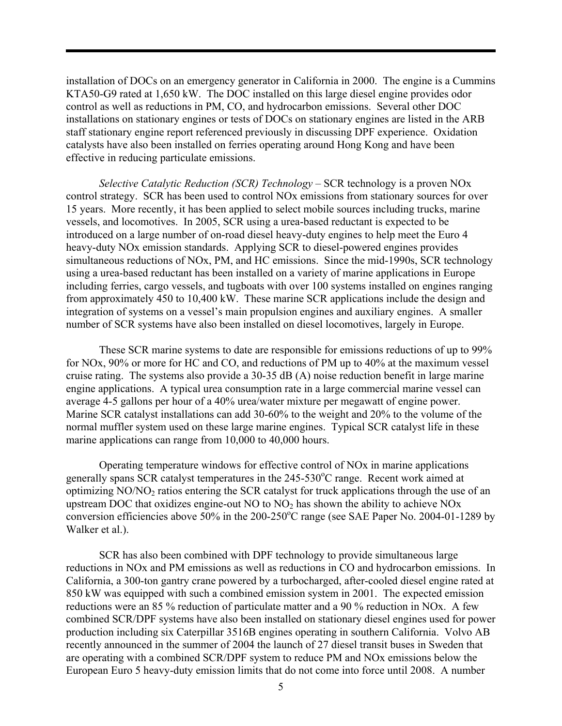installation of DOCs on an emergency generator in California in 2000. The engine is a Cummins KTA50-G9 rated at 1,650 kW. The DOC installed on this large diesel engine provides odor control as well as reductions in PM, CO, and hydrocarbon emissions. Several other DOC installations on stationary engines or tests of DOCs on stationary engines are listed in the ARB staff stationary engine report referenced previously in discussing DPF experience. Oxidation catalysts have also been installed on ferries operating around Hong Kong and have been effective in reducing particulate emissions.

*Selective Catalytic Reduction (SCR) Technology –* SCR technology is a proven NOx control strategy. SCR has been used to control NOx emissions from stationary sources for over 15 years. More recently, it has been applied to select mobile sources including trucks, marine vessels, and locomotives. In 2005, SCR using a urea-based reductant is expected to be introduced on a large number of on-road diesel heavy-duty engines to help meet the Euro 4 heavy-duty NOx emission standards. Applying SCR to diesel-powered engines provides simultaneous reductions of NOx, PM, and HC emissions. Since the mid-1990s, SCR technology using a urea-based reductant has been installed on a variety of marine applications in Europe including ferries, cargo vessels, and tugboats with over 100 systems installed on engines ranging from approximately 450 to 10,400 kW. These marine SCR applications include the design and integration of systems on a vessel's main propulsion engines and auxiliary engines. A smaller number of SCR systems have also been installed on diesel locomotives, largely in Europe.

These SCR marine systems to date are responsible for emissions reductions of up to 99% for NOx, 90% or more for HC and CO, and reductions of PM up to 40% at the maximum vessel cruise rating. The systems also provide a 30-35 dB (A) noise reduction benefit in large marine engine applications. A typical urea consumption rate in a large commercial marine vessel can average 4-5 gallons per hour of a 40% urea/water mixture per megawatt of engine power. Marine SCR catalyst installations can add 30-60% to the weight and 20% to the volume of the normal muffler system used on these large marine engines. Typical SCR catalyst life in these marine applications can range from 10,000 to 40,000 hours.

Operating temperature windows for effective control of NOx in marine applications generally spans SCR catalyst temperatures in the 245-530°C range. Recent work aimed at optimizing  $NO/NO<sub>2</sub>$  ratios entering the SCR catalyst for truck applications through the use of an upstream DOC that oxidizes engine-out NO to  $NO<sub>2</sub>$  has shown the ability to achieve NOx conversion efficiencies above  $50\%$  in the 200-250°C range (see SAE Paper No. 2004-01-1289 by Walker et al.).

SCR has also been combined with DPF technology to provide simultaneous large reductions in NOx and PM emissions as well as reductions in CO and hydrocarbon emissions. In California, a 300-ton gantry crane powered by a turbocharged, after-cooled diesel engine rated at 850 kW was equipped with such a combined emission system in 2001. The expected emission reductions were an 85 % reduction of particulate matter and a 90 % reduction in NOx. A few combined SCR/DPF systems have also been installed on stationary diesel engines used for power production including six Caterpillar 3516B engines operating in southern California. Volvo AB recently announced in the summer of 2004 the launch of 27 diesel transit buses in Sweden that are operating with a combined SCR/DPF system to reduce PM and NOx emissions below the European Euro 5 heavy-duty emission limits that do not come into force until 2008. A number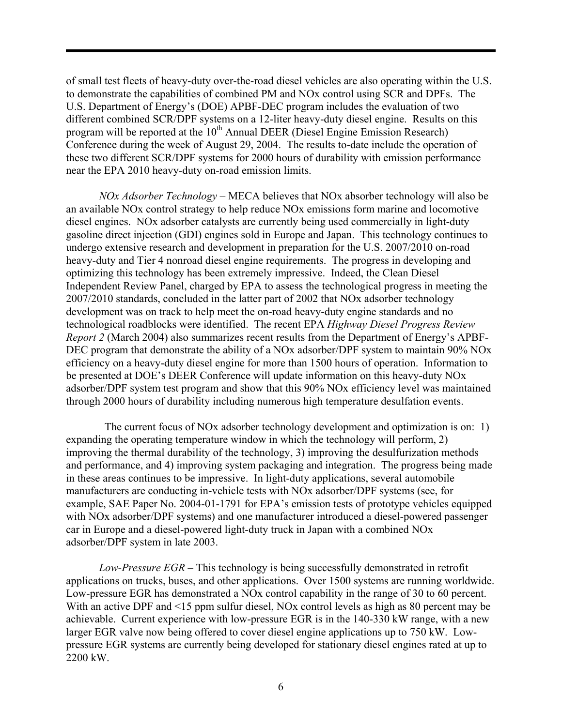of small test fleets of heavy-duty over-the-road diesel vehicles are also operating within the U.S. to demonstrate the capabilities of combined PM and NOx control using SCR and DPFs. The U.S. Department of Energy's (DOE) APBF-DEC program includes the evaluation of two different combined SCR/DPF systems on a 12-liter heavy-duty diesel engine. Results on this program will be reported at the  $10<sup>th</sup>$  Annual DEER (Diesel Engine Emission Research) Conference during the week of August 29, 2004. The results to-date include the operation of these two different SCR/DPF systems for 2000 hours of durability with emission performance near the EPA 2010 heavy-duty on-road emission limits.

*NOx Adsorber Technology –* MECA believes that NOx absorber technology will also be an available NOx control strategy to help reduce NOx emissions form marine and locomotive diesel engines. NOx adsorber catalysts are currently being used commercially in light-duty gasoline direct injection (GDI) engines sold in Europe and Japan. This technology continues to undergo extensive research and development in preparation for the U.S. 2007/2010 on-road heavy-duty and Tier 4 nonroad diesel engine requirements. The progress in developing and optimizing this technology has been extremely impressive. Indeed, the Clean Diesel Independent Review Panel, charged by EPA to assess the technological progress in meeting the 2007/2010 standards, concluded in the latter part of 2002 that NOx adsorber technology development was on track to help meet the on-road heavy-duty engine standards and no technological roadblocks were identified. The recent EPA *Highway Diesel Progress Review Report 2* (March 2004) also summarizes recent results from the Department of Energy's APBF-DEC program that demonstrate the ability of a NOx adsorber/DPF system to maintain 90% NOx efficiency on a heavy-duty diesel engine for more than 1500 hours of operation. Information to be presented at DOE's DEER Conference will update information on this heavy-duty NOx adsorber/DPF system test program and show that this 90% NOx efficiency level was maintained through 2000 hours of durability including numerous high temperature desulfation events.

 The current focus of NOx adsorber technology development and optimization is on: 1) expanding the operating temperature window in which the technology will perform, 2) improving the thermal durability of the technology, 3) improving the desulfurization methods and performance, and 4) improving system packaging and integration. The progress being made in these areas continues to be impressive. In light-duty applications, several automobile manufacturers are conducting in-vehicle tests with NOx adsorber/DPF systems (see, for example, SAE Paper No. 2004-01-1791 for EPA's emission tests of prototype vehicles equipped with NOx adsorber/DPF systems) and one manufacturer introduced a diesel-powered passenger car in Europe and a diesel-powered light-duty truck in Japan with a combined NOx adsorber/DPF system in late 2003.

*Low-Pressure EGR –* This technology is being successfully demonstrated in retrofit applications on trucks, buses, and other applications. Over 1500 systems are running worldwide. Low-pressure EGR has demonstrated a NOx control capability in the range of 30 to 60 percent. With an active DPF and <15 ppm sulfur diesel, NOx control levels as high as 80 percent may be achievable. Current experience with low-pressure EGR is in the 140-330 kW range, with a new larger EGR valve now being offered to cover diesel engine applications up to 750 kW. Lowpressure EGR systems are currently being developed for stationary diesel engines rated at up to 2200 kW.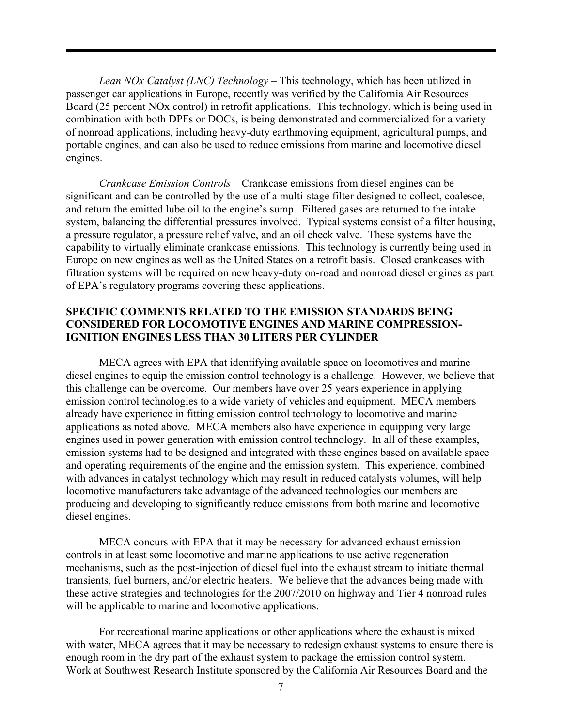*Lean NOx Catalyst (LNC) Technology –* This technology, which has been utilized in passenger car applications in Europe, recently was verified by the California Air Resources Board (25 percent NOx control) in retrofit applications. This technology, which is being used in combination with both DPFs or DOCs, is being demonstrated and commercialized for a variety of nonroad applications, including heavy-duty earthmoving equipment, agricultural pumps, and portable engines, and can also be used to reduce emissions from marine and locomotive diesel engines.

*Crankcase Emission Controls –* Crankcase emissions from diesel engines can be significant and can be controlled by the use of a multi-stage filter designed to collect, coalesce, and return the emitted lube oil to the engine's sump. Filtered gases are returned to the intake system, balancing the differential pressures involved. Typical systems consist of a filter housing, a pressure regulator, a pressure relief valve, and an oil check valve. These systems have the capability to virtually eliminate crankcase emissions. This technology is currently being used in Europe on new engines as well as the United States on a retrofit basis. Closed crankcases with filtration systems will be required on new heavy-duty on-road and nonroad diesel engines as part of EPA's regulatory programs covering these applications.

## **SPECIFIC COMMENTS RELATED TO THE EMISSION STANDARDS BEING CONSIDERED FOR LOCOMOTIVE ENGINES AND MARINE COMPRESSION-IGNITION ENGINES LESS THAN 30 LITERS PER CYLINDER**

MECA agrees with EPA that identifying available space on locomotives and marine diesel engines to equip the emission control technology is a challenge. However, we believe that this challenge can be overcome. Our members have over 25 years experience in applying emission control technologies to a wide variety of vehicles and equipment. MECA members already have experience in fitting emission control technology to locomotive and marine applications as noted above. MECA members also have experience in equipping very large engines used in power generation with emission control technology. In all of these examples, emission systems had to be designed and integrated with these engines based on available space and operating requirements of the engine and the emission system. This experience, combined with advances in catalyst technology which may result in reduced catalysts volumes, will help locomotive manufacturers take advantage of the advanced technologies our members are producing and developing to significantly reduce emissions from both marine and locomotive diesel engines.

MECA concurs with EPA that it may be necessary for advanced exhaust emission controls in at least some locomotive and marine applications to use active regeneration mechanisms, such as the post-injection of diesel fuel into the exhaust stream to initiate thermal transients, fuel burners, and/or electric heaters. We believe that the advances being made with these active strategies and technologies for the 2007/2010 on highway and Tier 4 nonroad rules will be applicable to marine and locomotive applications.

For recreational marine applications or other applications where the exhaust is mixed with water, MECA agrees that it may be necessary to redesign exhaust systems to ensure there is enough room in the dry part of the exhaust system to package the emission control system. Work at Southwest Research Institute sponsored by the California Air Resources Board and the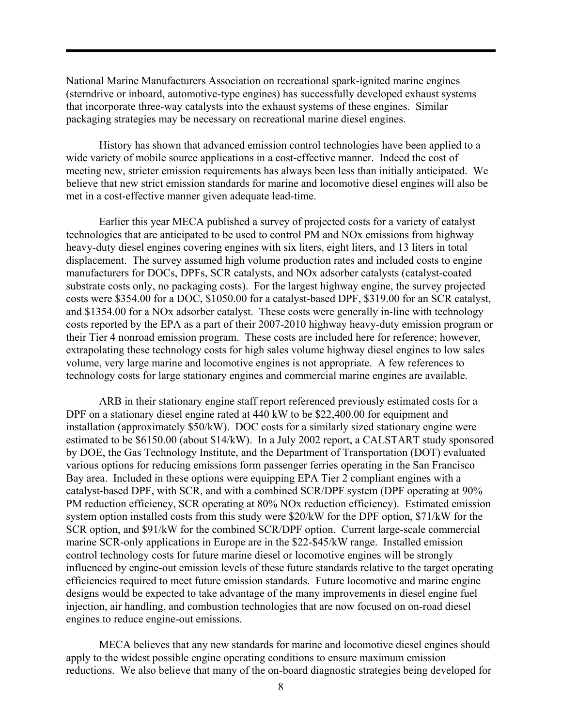National Marine Manufacturers Association on recreational spark-ignited marine engines (sterndrive or inboard, automotive-type engines) has successfully developed exhaust systems that incorporate three-way catalysts into the exhaust systems of these engines. Similar packaging strategies may be necessary on recreational marine diesel engines.

History has shown that advanced emission control technologies have been applied to a wide variety of mobile source applications in a cost-effective manner. Indeed the cost of meeting new, stricter emission requirements has always been less than initially anticipated. We believe that new strict emission standards for marine and locomotive diesel engines will also be met in a cost-effective manner given adequate lead-time.

Earlier this year MECA published a survey of projected costs for a variety of catalyst technologies that are anticipated to be used to control PM and NOx emissions from highway heavy-duty diesel engines covering engines with six liters, eight liters, and 13 liters in total displacement. The survey assumed high volume production rates and included costs to engine manufacturers for DOCs, DPFs, SCR catalysts, and NOx adsorber catalysts (catalyst-coated substrate costs only, no packaging costs). For the largest highway engine, the survey projected costs were \$354.00 for a DOC, \$1050.00 for a catalyst-based DPF, \$319.00 for an SCR catalyst, and \$1354.00 for a NOx adsorber catalyst. These costs were generally in-line with technology costs reported by the EPA as a part of their 2007-2010 highway heavy-duty emission program or their Tier 4 nonroad emission program. These costs are included here for reference; however, extrapolating these technology costs for high sales volume highway diesel engines to low sales volume, very large marine and locomotive engines is not appropriate. A few references to technology costs for large stationary engines and commercial marine engines are available.

ARB in their stationary engine staff report referenced previously estimated costs for a DPF on a stationary diesel engine rated at 440 kW to be \$22,400.00 for equipment and installation (approximately \$50/kW). DOC costs for a similarly sized stationary engine were estimated to be \$6150.00 (about \$14/kW). In a July 2002 report, a CALSTART study sponsored by DOE, the Gas Technology Institute, and the Department of Transportation (DOT) evaluated various options for reducing emissions form passenger ferries operating in the San Francisco Bay area. Included in these options were equipping EPA Tier 2 compliant engines with a catalyst-based DPF, with SCR, and with a combined SCR/DPF system (DPF operating at 90% PM reduction efficiency, SCR operating at 80% NOx reduction efficiency). Estimated emission system option installed costs from this study were \$20/kW for the DPF option, \$71/kW for the SCR option, and \$91/kW for the combined SCR/DPF option. Current large-scale commercial marine SCR-only applications in Europe are in the \$22-\$45/kW range. Installed emission control technology costs for future marine diesel or locomotive engines will be strongly influenced by engine-out emission levels of these future standards relative to the target operating efficiencies required to meet future emission standards. Future locomotive and marine engine designs would be expected to take advantage of the many improvements in diesel engine fuel injection, air handling, and combustion technologies that are now focused on on-road diesel engines to reduce engine-out emissions.

MECA believes that any new standards for marine and locomotive diesel engines should apply to the widest possible engine operating conditions to ensure maximum emission reductions. We also believe that many of the on-board diagnostic strategies being developed for